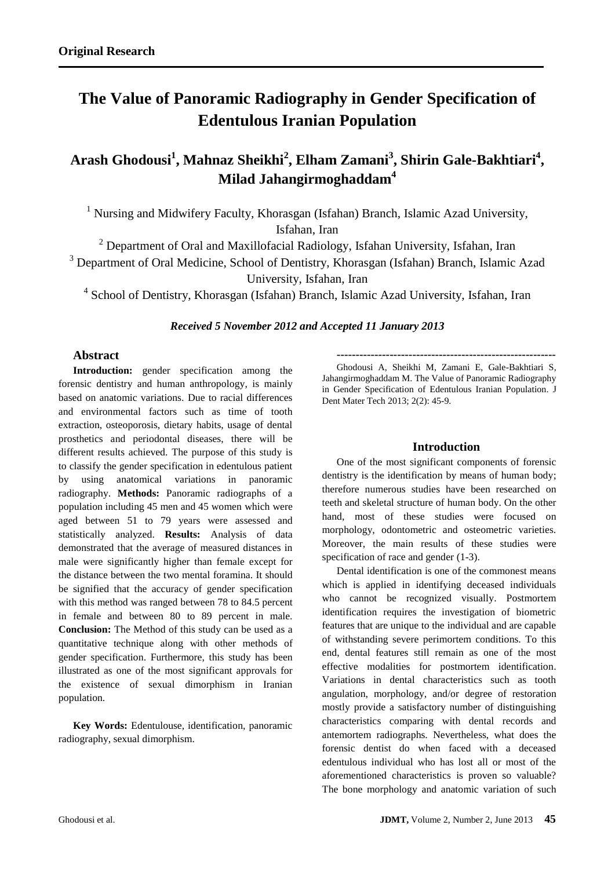# **The Value of Panoramic Radiography in Gender Specification of Edentulous Iranian Population**

**Arash Ghodousi<sup>1</sup> , Mahnaz Sheikhi<sup>2</sup> , Elham Zamani<sup>3</sup> , Shirin Gale-Bakhtiari<sup>4</sup> , Milad Jahangirmoghaddam<sup>4</sup>**

<sup>1</sup> Nursing and Midwifery Faculty, Khorasgan (Isfahan) Branch, Islamic Azad University, Isfahan, Iran

 $2$  Department of Oral and Maxillofacial Radiology, Isfahan University, Isfahan, Iran <sup>3</sup> Department of Oral Medicine, School of Dentistry, Khorasgan (Isfahan) Branch, Islamic Azad University, Isfahan, Iran

<sup>4</sup> School of Dentistry, Khorasgan (Isfahan) Branch, Islamic Azad University, Isfahan, Iran

## *Received 5 November 2012 and Accepted 11 January 2013*

# **Abstract**

**Introduction:** gender specification among the forensic dentistry and human anthropology, is mainly based on anatomic variations. Due to racial differences and environmental factors such as time of tooth extraction, osteoporosis, dietary habits, usage of dental prosthetics and periodontal diseases, there will be different results achieved. The purpose of this study is to classify the gender specification in edentulous patient by using anatomical variations in panoramic radiography. **Methods:** Panoramic radiographs of a population including 45 men and 45 women which were aged between 51 to 79 years were assessed and statistically analyzed. **Results:** Analysis of data demonstrated that the average of measured distances in male were significantly higher than female except for the distance between the two mental foramina. It should be signified that the accuracy of gender specification with this method was ranged between 78 to 84.5 percent in female and between 80 to 89 percent in male. **Conclusion:** The Method of this study can be used as a quantitative technique along with other methods of gender specification. Furthermore, this study has been illustrated as one of the most significant approvals for the existence of sexual dimorphism in Iranian population.

**Key Words:** Edentulouse, identification, panoramic radiography, sexual dimorphism.

Ghodousi A, Sheikhi M, Zamani E, Gale-Bakhtiari S, Jahangirmoghaddam M. The Value of Panoramic Radiography in Gender Specification of Edentulous Iranian Population. J Dent Mater Tech 2013; 2(2): 45-9.

**----------------------------------------------------------**

# **Introduction**

One of the most significant components of forensic dentistry is the identification by means of human body; therefore numerous studies have been researched on teeth and skeletal structure of human body. On the other hand, most of these studies were focused on morphology, odontometric and osteometric varieties. Moreover, the main results of these studies were specification of race and gender  $(1-3)$ .

Dental identification is one of the commonest means which is applied in identifying deceased individuals who cannot be recognized visually. Postmortem identification requires the investigation of biometric features that are unique to the individual and are capable of withstanding severe perimortem conditions. To this end, dental features still remain as one of the most effective modalities for postmortem identification. Variations in dental characteristics such as tooth angulation, morphology, and/or degree of restoration mostly provide a satisfactory number of distinguishing characteristics comparing with dental records and antemortem radiographs. Nevertheless, what does the forensic dentist do when faced with a deceased edentulous individual who has lost all or most of the aforementioned characteristics is proven so valuable? The bone morphology and anatomic variation of such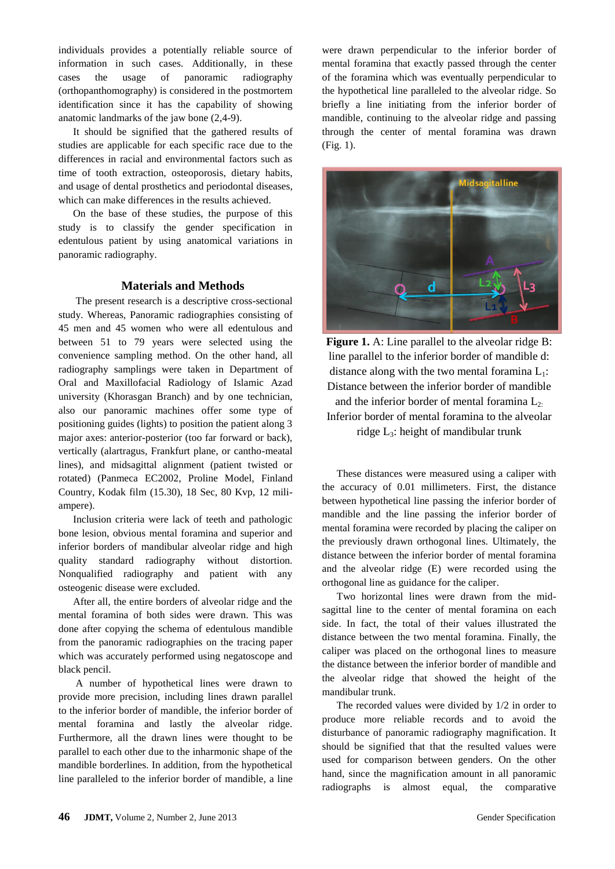individuals provides a potentially reliable source of information in such cases. Additionally, in these cases the usage of panoramic radiography (orthopanthomography) is considered in the postmortem identification since it has the capability of showing anatomic landmarks of the jaw bone (2,4-9).

It should be signified that the gathered results of studies are applicable for each specific race due to the differences in racial and environmental factors such as time of tooth extraction, osteoporosis, dietary habits, and usage of dental prosthetics and periodontal diseases, which can make differences in the results achieved.

On the base of these studies, the purpose of this study is to classify the gender specification in edentulous patient by using anatomical variations in panoramic radiography.

## **Materials and Methods**

The present research is a descriptive cross-sectional study. Whereas, Panoramic radiographies consisting of 45 men and 45 women who were all edentulous and between 51 to 79 years were selected using the convenience sampling method. On the other hand, all radiography samplings were taken in Department of Oral and Maxillofacial Radiology of Islamic Azad university (Khorasgan Branch) and by one technician, also our panoramic machines offer some type of positioning guides (lights) to position the patient along 3 major axes: anterior-posterior (too far forward or back), vertically (alartragus, Frankfurt plane, or cantho-meatal lines), and midsagittal alignment (patient twisted or rotated) (Panmeca EC2002, Proline Model, Finland Country, Kodak film (15.30), 18 Sec, 80 Kvp, 12 miliampere).

Inclusion criteria were lack of teeth and pathologic bone lesion, obvious mental foramina and superior and inferior borders of mandibular alveolar ridge and high quality standard radiography without distortion. Nonqualified radiography and patient with any osteogenic disease were excluded.

After all, the entire borders of alveolar ridge and the mental foramina of both sides were drawn. This was done after copying the schema of edentulous mandible from the panoramic radiographies on the tracing paper which was accurately performed using negatoscope and black pencil.

A number of hypothetical lines were drawn to provide more precision, including lines drawn parallel to the inferior border of mandible, the inferior border of mental foramina and lastly the alveolar ridge. Furthermore, all the drawn lines were thought to be parallel to each other due to the inharmonic shape of the mandible borderlines. In addition, from the hypothetical line paralleled to the inferior border of mandible, a line were drawn perpendicular to the inferior border of mental foramina that exactly passed through the center of the foramina which was eventually perpendicular to the hypothetical line paralleled to the alveolar ridge. So briefly a line initiating from the inferior border of mandible, continuing to the alveolar ridge and passing through the center of mental foramina was drawn (Fig. 1).



**Figure 1.** A: Line parallel to the alveolar ridge B: line parallel to the inferior border of mandible d: distance along with the two mental foramina  $L_1$ : Distance between the inferior border of mandible and the inferior border of mental foramina  $L_2$ . Inferior border of mental foramina to the alveolar ridge L3: height of mandibular trunk

These distances were measured using a caliper with the accuracy of 0.01 millimeters. First, the distance between hypothetical line passing the inferior border of mandible and the line passing the inferior border of mental foramina were recorded by placing the caliper on the previously drawn orthogonal lines. Ultimately, the distance between the inferior border of mental foramina and the alveolar ridge (E) were recorded using the orthogonal line as guidance for the caliper.

Two horizontal lines were drawn from the midsagittal line to the center of mental foramina on each side. In fact, the total of their values illustrated the distance between the two mental foramina. Finally, the caliper was placed on the orthogonal lines to measure the distance between the inferior border of mandible and the alveolar ridge that showed the height of the mandibular trunk.

The recorded values were divided by 1/2 in order to produce more reliable records and to avoid the disturbance of panoramic radiography magnification. It should be signified that that the resulted values were used for comparison between genders. On the other hand, since the magnification amount in all panoramic radiographs is almost equal, the comparative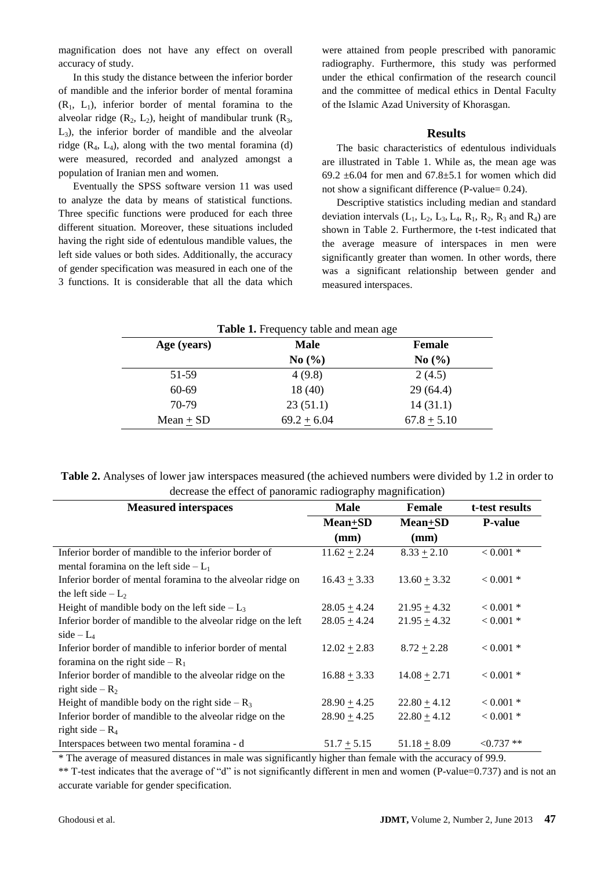magnification does not have any effect on overall accuracy of study.

In this study the distance between the inferior border of mandible and the inferior border of mental foramina  $(R<sub>1</sub>, L<sub>1</sub>)$ , inferior border of mental foramina to the alveolar ridge  $(R_2, L_2)$ , height of mandibular trunk  $(R_3, R_3)$ L3), the inferior border of mandible and the alveolar ridge  $(R_4, L_4)$ , along with the two mental foramina (d) were measured, recorded and analyzed amongst a population of Iranian men and women.

Eventually the SPSS software version 11 was used to analyze the data by means of statistical functions. Three specific functions were produced for each three different situation. Moreover, these situations included having the right side of edentulous mandible values, the left side values or both sides. Additionally, the accuracy of gender specification was measured in each one of the 3 functions. It is considerable that all the data which were attained from people prescribed with panoramic radiography. Furthermore, this study was performed under the ethical confirmation of the research council and the committee of medical ethics in Dental Faculty of the Islamic Azad University of Khorasgan.

### **Results**

The basic characteristics of edentulous individuals are illustrated in Table 1. While as, the mean age was 69.2  $\pm$ 6.04 for men and 67.8 $\pm$ 5.1 for women which did not show a significant difference (P-value= 0.24).

Descriptive statistics including median and standard deviation intervals  $(L_1, L_2, L_3, L_4, R_1, R_2, R_3$  and  $R_4$ ) are shown in Table 2. Furthermore, the t-test indicated that the average measure of interspaces in men were significantly greater than women. In other words, there was a significant relationship between gender and measured interspaces.

| Age (years) | <b>Male</b>   | <b>Female</b> |  |
|-------------|---------------|---------------|--|
|             | No(%)         | No(%)         |  |
| 51-59       | 4(9.8)        | 2(4.5)        |  |
| 60-69       | 18(40)        | 29(64.4)      |  |
| 70-79       | 23(51.1)      | 14(31.1)      |  |
| $Mean + SD$ | $69.2 + 6.04$ | $67.8 + 5.10$ |  |

**Table 2.** Analyses of lower jaw interspaces measured (the achieved numbers were divided by 1.2 in order to decrease the effect of panoramic radiography magnification)

| <b>Measured interspaces</b>                                   | <b>Male</b>      | <b>Female</b>    | t-test results |
|---------------------------------------------------------------|------------------|------------------|----------------|
|                                                               | Mean+SD          | <b>Mean+SD</b>   | <b>P-value</b> |
|                                                               | (mm)             | (mm)             |                |
| Inferior border of mandible to the inferior border of         | $11.62 + 2.24$   | $8.33 + 2.10$    | $< 0.001$ *    |
| mental foramina on the left side $-L_1$                       |                  |                  |                |
| Inferior border of mental foramina to the alveolar ridge on   | $16.43 \pm 3.33$ | $13.60 \pm 3.32$ | $< 0.001$ *    |
| the left side $-L_2$                                          |                  |                  |                |
| Height of mandible body on the left side $-L_3$               | $28.05 + 4.24$   | $21.95 + 4.32$   | $< 0.001$ *    |
| Inferior border of mandible to the alveolar ridge on the left | $28.05 + 4.24$   | $21.95 + 4.32$   | $< 0.001$ *    |
| side $-L_4$                                                   |                  |                  |                |
| Inferior border of mandible to inferior border of mental      | $12.02 \pm 2.83$ | $8.72 \pm 2.28$  | $< 0.001$ *    |
| foramina on the right side $-R_1$                             |                  |                  |                |
| Inferior border of mandible to the alveolar ridge on the      | $16.88 \pm 3.33$ | $14.08 \pm 2.71$ | $< 0.001$ *    |
| right side $-R_2$                                             |                  |                  |                |
| Height of mandible body on the right side $-R_3$              | $28.90 \pm 4.25$ | $22.80 + 4.12$   | $< 0.001$ *    |
| Inferior border of mandible to the alveolar ridge on the      | $28.90 + 4.25$   | $22.80 + 4.12$   | $< 0.001$ *    |
| right side $-R_4$                                             |                  |                  |                |
| Interspaces between two mental foramina - d                   | $51.7 \pm 5.15$  | $51.18 + 8.09$   | $< 0.737$ **   |

\* The average of measured distances in male was significantly higher than female with the accuracy of 99.9.

\*\* T-test indicates that the average of "d" is not significantly different in men and women (P-value=0.737) and is not an accurate variable for gender specification.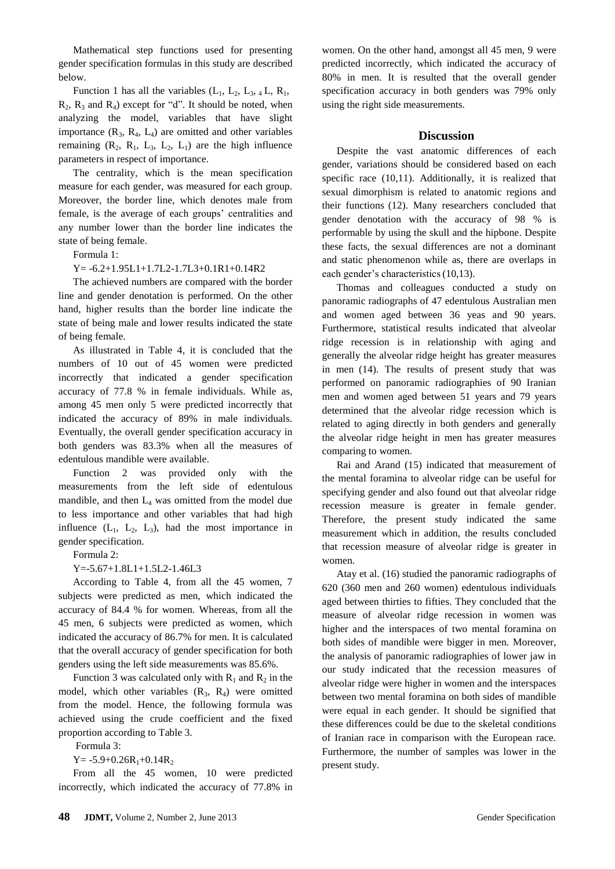Mathematical step functions used for presenting gender specification formulas in this study are described below.

Function 1 has all the variables  $(L_1, L_2, L_3, 4L, R_1,$  $R_2$ ,  $R_3$  and  $R_4$ ) except for "d". It should be noted, when analyzing the model, variables that have slight importance  $(R_3, R_4, L_4)$  are omitted and other variables remaining  $(R_2, R_1, L_3, L_2, L_1)$  are the high influence parameters in respect of importance.

The centrality, which is the mean specification measure for each gender, was measured for each group. Moreover, the border line, which denotes male from female, is the average of each groups' centralities and any number lower than the border line indicates the state of being female.

Formula 1:

Y= -6.2+1.95L1+1.7L2-1.7L3+0.1R1+0.14R2

The achieved numbers are compared with the border line and gender denotation is performed. On the other hand, higher results than the border line indicate the state of being male and lower results indicated the state of being female.

As illustrated in Table 4, it is concluded that the numbers of 10 out of 45 women were predicted incorrectly that indicated a gender specification accuracy of 77.8 % in female individuals. While as, among 45 men only 5 were predicted incorrectly that indicated the accuracy of 89% in male individuals. Eventually, the overall gender specification accuracy in both genders was 83.3% when all the measures of edentulous mandible were available.

Function 2 was provided only with the measurements from the left side of edentulous mandible, and then  $L_4$  was omitted from the model due to less importance and other variables that had high influence  $(L_1, L_2, L_3)$ , had the most importance in gender specification.

Formula 2:

Y=-5.67+1.8L1+1.5L2-1.46L3

According to Table 4, from all the 45 women, 7 subjects were predicted as men, which indicated the accuracy of 84.4 % for women. Whereas, from all the 45 men, 6 subjects were predicted as women, which indicated the accuracy of 86.7% for men. It is calculated that the overall accuracy of gender specification for both genders using the left side measurements was 85.6%.

Function 3 was calculated only with  $R_1$  and  $R_2$  in the model, which other variables  $(R_3, R_4)$  were omitted from the model. Hence, the following formula was achieved using the crude coefficient and the fixed proportion according to Table 3.

Formula 3:

 $Y = -5.9 + 0.26R_1 + 0.14R_2$ 

From all the 45 women, 10 were predicted incorrectly, which indicated the accuracy of 77.8% in women. On the other hand, amongst all 45 men, 9 were predicted incorrectly, which indicated the accuracy of 80% in men. It is resulted that the overall gender specification accuracy in both genders was 79% only using the right side measurements.

#### **Discussion**

Despite the vast anatomic differences of each gender, variations should be considered based on each specific race (10,11). Additionally, it is realized that sexual dimorphism is related to anatomic regions and their functions (12). Many researchers concluded that gender denotation with the accuracy of 98 % is performable by using the skull and the hipbone. Despite these facts, the sexual differences are not a dominant and static phenomenon while as, there are overlaps in each gender's characteristics(10,13).

Thomas and colleagues conducted a study on panoramic radiographs of 47 edentulous Australian men and women aged between 36 yeas and 90 years. Furthermore, statistical results indicated that alveolar ridge recession is in relationship with aging and generally the alveolar ridge height has greater measures in men (14). The results of present study that was performed on panoramic radiographies of 90 Iranian men and women aged between 51 years and 79 years determined that the alveolar ridge recession which is related to aging directly in both genders and generally the alveolar ridge height in men has greater measures comparing to women.

Rai and Arand (15) indicated that measurement of the mental foramina to alveolar ridge can be useful for specifying gender and also found out that alveolar ridge recession measure is greater in female gender. Therefore, the present study indicated the same measurement which in addition, the results concluded that recession measure of alveolar ridge is greater in women.

Atay et al. (16) studied the panoramic radiographs of 620 (360 men and 260 women) edentulous individuals aged between thirties to fifties. They concluded that the measure of alveolar ridge recession in women was higher and the interspaces of two mental foramina on both sides of mandible were bigger in men. Moreover, the analysis of panoramic radiographies of lower jaw in our study indicated that the recession measures of alveolar ridge were higher in women and the interspaces between two mental foramina on both sides of mandible were equal in each gender. It should be signified that these differences could be due to the skeletal conditions of Iranian race in comparison with the European race. Furthermore, the number of samples was lower in the present study.